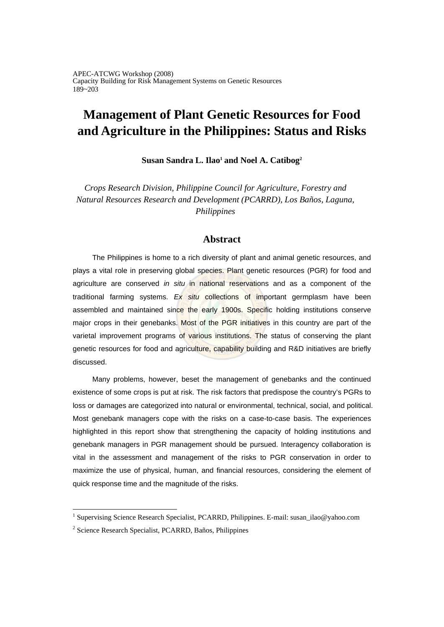# **Management of Plant Genetic Resources for Food and Agriculture in the Philippines: Status and Risks**

Susan Sandra L. Ilao<sup>1</sup> and Noel A. Catibog<sup>2</sup>

*Crops Research Division, Philippine Council for Agriculture, Forestry and Natural Resources Research and Development (PCARRD), Los Baños, Laguna, Philippines* 

## **Abstract**

The Philippines is home to a rich diversity of plant and animal genetic resources, and plays a vital role in preserving global species. Plant genetic resources (PGR) for food and agriculture are conserved *in situ* in national reservations and as a component of the traditional farming systems. *Ex situ* collections of important germplasm have been assembled and maintained since the early 1900s. Specific holding institutions conserve major crops in their genebanks. Most of the PGR initiatives in this country are part of the varietal improvement programs of various institutions. The status of conserving the plant genetic resources for food and agriculture, capability building and R&D initiatives are briefly discussed.

Many problems, however, beset the management of genebanks and the continued existence of some crops is put at risk. The risk factors that predispose the country's PGRs to loss or damages are categorized into natural or environmental, technical, social, and political. Most genebank managers cope with the risks on a case-to-case basis. The experiences highlighted in this report show that strengthening the capacity of holding institutions and genebank managers in PGR management should be pursued. Interagency collaboration is vital in the assessment and management of the risks to PGR conservation in order to maximize the use of physical, human, and financial resources, considering the element of quick response time and the magnitude of the risks.

<sup>&</sup>lt;sup>1</sup> Supervising Science Research Specialist, PCARRD, Philippines. E-mail: susan\_ilao@yahoo.com

<sup>&</sup>lt;sup>2</sup> Science Research Specialist, PCARRD, Baños, Philippines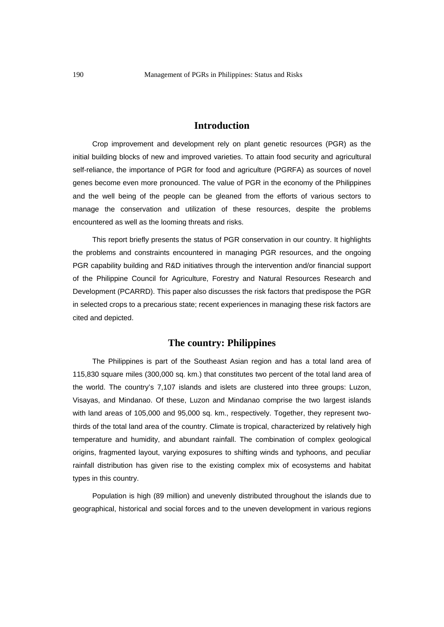### **Introduction**

Crop improvement and development rely on plant genetic resources (PGR) as the initial building blocks of new and improved varieties. To attain food security and agricultural self-reliance, the importance of PGR for food and agriculture (PGRFA) as sources of novel genes become even more pronounced. The value of PGR in the economy of the Philippines and the well being of the people can be gleaned from the efforts of various sectors to manage the conservation and utilization of these resources, despite the problems encountered as well as the looming threats and risks.

This report briefly presents the status of PGR conservation in our country. It highlights the problems and constraints encountered in managing PGR resources, and the ongoing PGR capability building and R&D initiatives through the intervention and/or financial support of the Philippine Council for Agriculture, Forestry and Natural Resources Research and Development (PCARRD). This paper also discusses the risk factors that predispose the PGR in selected crops to a precarious state; recent experiences in managing these risk factors are cited and depicted.

## **The country: Philippines**

The Philippines is part of the Southeast Asian region and has a total land area of 115,830 square miles (300,000 sq. km.) that constitutes two percent of the total land area of the world. The country's 7,107 islands and islets are clustered into three groups: Luzon, Visayas, and Mindanao. Of these, Luzon and Mindanao comprise the two largest islands with land areas of 105,000 and 95,000 sq. km., respectively. Together, they represent twothirds of the total land area of the country. Climate is tropical, characterized by relatively high temperature and humidity, and abundant rainfall. The combination of complex geological origins, fragmented layout, varying exposures to shifting winds and typhoons, and peculiar rainfall distribution has given rise to the existing complex mix of ecosystems and habitat types in this country.

Population is high (89 million) and unevenly distributed throughout the islands due to geographical, historical and social forces and to the uneven development in various regions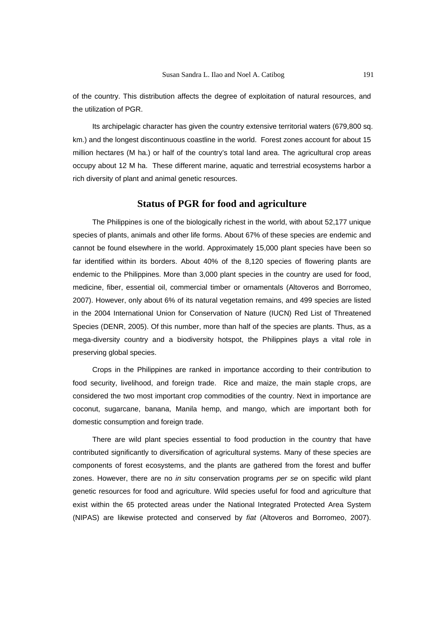of the country. This distribution affects the degree of exploitation of natural resources, and the utilization of PGR.

Its archipelagic character has given the country extensive territorial waters (679,800 sq. km.) and the longest discontinuous coastline in the world. Forest zones account for about 15 million hectares (M ha.) or half of the country's total land area. The agricultural crop areas occupy about 12 M ha. These different marine, aquatic and terrestrial ecosystems harbor a rich diversity of plant and animal genetic resources.

#### **Status of PGR for food and agriculture**

The Philippines is one of the biologically richest in the world, with about 52,177 unique species of plants, animals and other life forms. About 67% of these species are endemic and cannot be found elsewhere in the world. Approximately 15,000 plant species have been so far identified within its borders. About 40% of the 8,120 species of flowering plants are endemic to the Philippines. More than 3,000 plant species in the country are used for food, medicine, fiber, essential oil, commercial timber or ornamentals (Altoveros and Borromeo, 2007). However, only about 6% of its natural vegetation remains, and 499 species are listed in the 2004 International Union for Conservation of Nature (IUCN) Red List of Threatened Species (DENR, 2005). Of this number, more than half of the species are plants. Thus, as a mega-diversity country and a biodiversity hotspot, the Philippines plays a vital role in preserving global species.

Crops in the Philippines are ranked in importance according to their contribution to food security, livelihood, and foreign trade. Rice and maize, the main staple crops, are considered the two most important crop commodities of the country. Next in importance are coconut, sugarcane, banana, Manila hemp, and mango, which are important both for domestic consumption and foreign trade.

There are wild plant species essential to food production in the country that have contributed significantly to diversification of agricultural systems. Many of these species are components of forest ecosystems, and the plants are gathered from the forest and buffer zones. However, there are no *in situ* conservation programs *per se* on specific wild plant genetic resources for food and agriculture. Wild species useful for food and agriculture that exist within the 65 protected areas under the National Integrated Protected Area System (NIPAS) are likewise protected and conserved by *fiat* (Altoveros and Borromeo, 2007).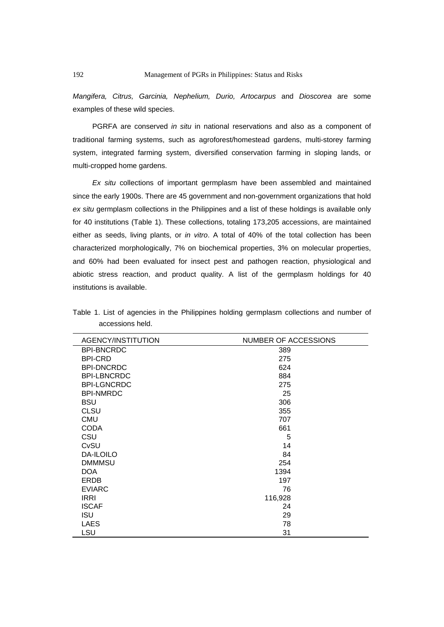*Mangifera, Citrus, Garcinia, Nephelium, Durio, Artocarpus* and *Dioscorea* are some examples of these wild species.

PGRFA are conserved *in situ* in national reservations and also as a component of traditional farming systems, such as agroforest/homestead gardens, multi-storey farming system, integrated farming system, diversified conservation farming in sloping lands, or multi-cropped home gardens.

*Ex situ* collections of important germplasm have been assembled and maintained since the early 1900s. There are 45 government and non-government organizations that hold *ex situ* germplasm collections in the Philippines and a list of these holdings is available only for 40 institutions (Table 1). These collections, totaling 173,205 accessions, are maintained either as seeds, living plants, or *in vitro*. A total of 40% of the total collection has been characterized morphologically, 7% on biochemical properties, 3% on molecular properties, and 60% had been evaluated for insect pest and pathogen reaction, physiological and abiotic stress reaction, and product quality. A list of the germplasm holdings for 40 institutions is available.

| AGENCY/INSTITUTION | <b>NUMBER OF ACCESSIONS</b> |
|--------------------|-----------------------------|
| <b>BPI-BNCRDC</b>  | 389                         |
| <b>BPI-CRD</b>     | 275                         |
| <b>BPI-DNCRDC</b>  | 624                         |
| <b>BPI-LBNCRDC</b> | 884                         |
| <b>BPI-LGNCRDC</b> | 275                         |
| <b>BPI-NMRDC</b>   | 25                          |
| <b>BSU</b>         | 306                         |
| <b>CLSU</b>        | 355                         |
| <b>CMU</b>         | 707                         |
| <b>CODA</b>        | 661                         |
| CSU                | 5                           |
| CvSU               | 14                          |
| <b>DA-ILOILO</b>   | 84                          |
| <b>DMMMSU</b>      | 254                         |
| <b>DOA</b>         | 1394                        |
| ERDB               | 197                         |
| <b>EVIARC</b>      | 76                          |
| <b>IRRI</b>        | 116,928                     |
| <b>ISCAF</b>       | 24                          |
| <b>ISU</b>         | 29                          |
| <b>LAES</b>        | 78                          |
| LSU                | 31                          |

Table 1. List of agencies in the Philippines holding germplasm collections and number of accessions held.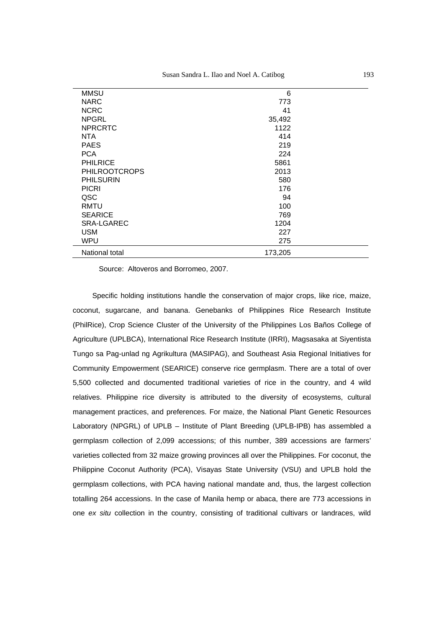| MMSU                 | 6       |  |
|----------------------|---------|--|
| <b>NARC</b>          | 773     |  |
| <b>NCRC</b>          | 41      |  |
| <b>NPGRL</b>         | 35,492  |  |
| <b>NPRCRTC</b>       | 1122    |  |
| NTA                  | 414     |  |
| <b>PAES</b>          | 219     |  |
| <b>PCA</b>           | 224     |  |
| <b>PHILRICE</b>      | 5861    |  |
| <b>PHILROOTCROPS</b> | 2013    |  |
| <b>PHILSURIN</b>     | 580     |  |
| <b>PICRI</b>         | 176     |  |
| QSC                  | 94      |  |
| RMTU                 | 100     |  |
| <b>SEARICE</b>       | 769     |  |
| SRA-LGAREC           | 1204    |  |
| <b>USM</b>           | 227     |  |
| <b>WPU</b>           | 275     |  |
| National total       | 173,205 |  |

Source: Altoveros and Borromeo, 2007.

Specific holding institutions handle the conservation of major crops, like rice, maize, coconut, sugarcane, and banana. Genebanks of Philippines Rice Research Institute (PhilRice), Crop Science Cluster of the University of the Philippines Los Baños College of Agriculture (UPLBCA), International Rice Research Institute (IRRI), Magsasaka at Siyentista Tungo sa Pag-unlad ng Agrikultura (MASIPAG), and Southeast Asia Regional Initiatives for Community Empowerment (SEARICE) conserve rice germplasm. There are a total of over 5,500 collected and documented traditional varieties of rice in the country, and 4 wild relatives. Philippine rice diversity is attributed to the diversity of ecosystems, cultural management practices, and preferences. For maize, the National Plant Genetic Resources Laboratory (NPGRL) of UPLB – Institute of Plant Breeding (UPLB-IPB) has assembled a germplasm collection of 2,099 accessions; of this number, 389 accessions are farmers' varieties collected from 32 maize growing provinces all over the Philippines. For coconut, the Philippine Coconut Authority (PCA), Visayas State University (VSU) and UPLB hold the germplasm collections, with PCA having national mandate and, thus, the largest collection totalling 264 accessions. In the case of Manila hemp or abaca, there are 773 accessions in one *ex situ* collection in the country, consisting of traditional cultivars or landraces, wild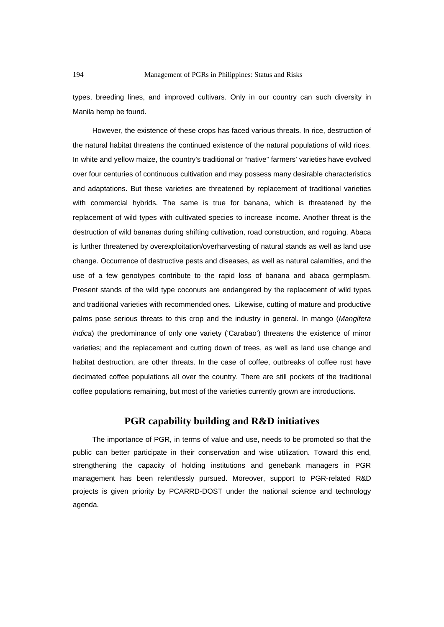types, breeding lines, and improved cultivars. Only in our country can such diversity in Manila hemp be found.

However, the existence of these crops has faced various threats. In rice, destruction of the natural habitat threatens the continued existence of the natural populations of wild rices. In white and yellow maize, the country's traditional or "native" farmers' varieties have evolved over four centuries of continuous cultivation and may possess many desirable characteristics and adaptations. But these varieties are threatened by replacement of traditional varieties with commercial hybrids. The same is true for banana, which is threatened by the replacement of wild types with cultivated species to increase income. Another threat is the destruction of wild bananas during shifting cultivation, road construction, and roguing. Abaca is further threatened by overexploitation/overharvesting of natural stands as well as land use change. Occurrence of destructive pests and diseases, as well as natural calamities, and the use of a few genotypes contribute to the rapid loss of banana and abaca germplasm. Present stands of the wild type coconuts are endangered by the replacement of wild types and traditional varieties with recommended ones. Likewise, cutting of mature and productive palms pose serious threats to this crop and the industry in general. In mango (*Mangifera indica*) the predominance of only one variety ('Carabao') threatens the existence of minor varieties; and the replacement and cutting down of trees, as well as land use change and habitat destruction, are other threats. In the case of coffee, outbreaks of coffee rust have decimated coffee populations all over the country. There are still pockets of the traditional coffee populations remaining, but most of the varieties currently grown are introductions.

## **PGR capability building and R&D initiatives**

The importance of PGR, in terms of value and use, needs to be promoted so that the public can better participate in their conservation and wise utilization. Toward this end, strengthening the capacity of holding institutions and genebank managers in PGR management has been relentlessly pursued. Moreover, support to PGR-related R&D projects is given priority by PCARRD-DOST under the national science and technology agenda.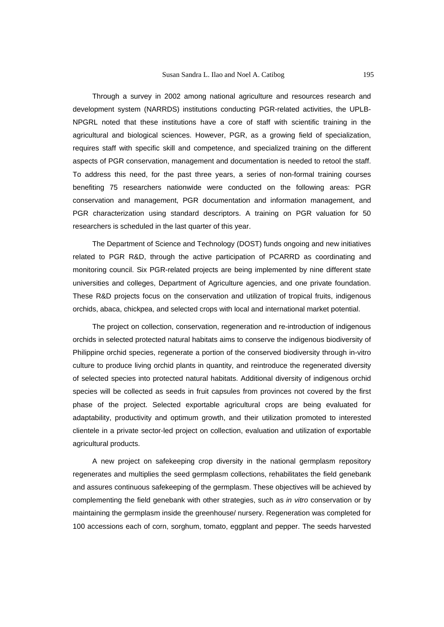Through a survey in 2002 among national agriculture and resources research and development system (NARRDS) institutions conducting PGR-related activities, the UPLB-NPGRL noted that these institutions have a core of staff with scientific training in the agricultural and biological sciences. However, PGR, as a growing field of specialization, requires staff with specific skill and competence, and specialized training on the different aspects of PGR conservation, management and documentation is needed to retool the staff. To address this need, for the past three years, a series of non-formal training courses benefiting 75 researchers nationwide were conducted on the following areas: PGR conservation and management, PGR documentation and information management, and PGR characterization using standard descriptors. A training on PGR valuation for 50 researchers is scheduled in the last quarter of this year.

The Department of Science and Technology (DOST) funds ongoing and new initiatives related to PGR R&D, through the active participation of PCARRD as coordinating and monitoring council. Six PGR-related projects are being implemented by nine different state universities and colleges, Department of Agriculture agencies, and one private foundation. These R&D projects focus on the conservation and utilization of tropical fruits, indigenous orchids, abaca, chickpea, and selected crops with local and international market potential.

The project on collection, conservation, regeneration and re-introduction of indigenous orchids in selected protected natural habitats aims to conserve the indigenous biodiversity of Philippine orchid species, regenerate a portion of the conserved biodiversity through in-vitro culture to produce living orchid plants in quantity, and reintroduce the regenerated diversity of selected species into protected natural habitats. Additional diversity of indigenous orchid species will be collected as seeds in fruit capsules from provinces not covered by the first phase of the project. Selected exportable agricultural crops are being evaluated for adaptability, productivity and optimum growth, and their utilization promoted to interested clientele in a private sector-led project on collection, evaluation and utilization of exportable agricultural products.

A new project on safekeeping crop diversity in the national germplasm repository regenerates and multiplies the seed germplasm collections, rehabilitates the field genebank and assures continuous safekeeping of the germplasm. These objectives will be achieved by complementing the field genebank with other strategies, such as *in vitro* conservation or by maintaining the germplasm inside the greenhouse/ nursery. Regeneration was completed for 100 accessions each of corn, sorghum, tomato, eggplant and pepper. The seeds harvested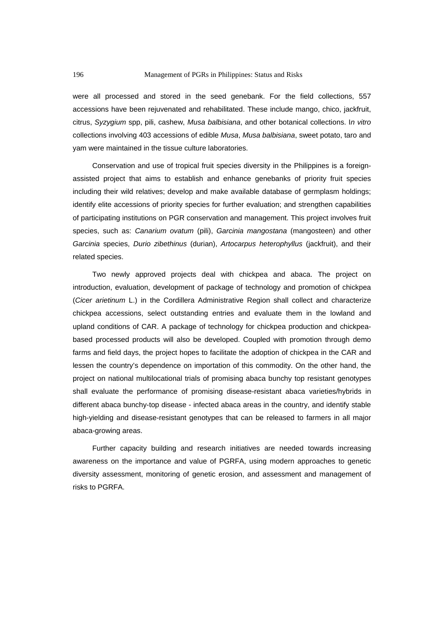were all processed and stored in the seed genebank. For the field collections, 557 accessions have been rejuvenated and rehabilitated. These include mango, chico, jackfruit, citrus, *Syzygium* spp, pili, cashew, *Musa balbisiana*, and other botanical collections. I*n vitro* collections involving 403 accessions of edible *Musa*, *Musa balbisiana*, sweet potato, taro and yam were maintained in the tissue culture laboratories.

Conservation and use of tropical fruit species diversity in the Philippines is a foreignassisted project that aims to establish and enhance genebanks of priority fruit species including their wild relatives; develop and make available database of germplasm holdings; identify elite accessions of priority species for further evaluation; and strengthen capabilities of participating institutions on PGR conservation and management. This project involves fruit species, such as: *Canarium ovatum* (pili), *Garcinia mangostana* (mangosteen) and other *Garcinia* species, *Durio zibethinus* (durian), *Artocarpus heterophyllus* (jackfruit), and their related species.

Two newly approved projects deal with chickpea and abaca. The project on introduction, evaluation, development of package of technology and promotion of chickpea (*Cicer arietinum* L.) in the Cordillera Administrative Region shall collect and characterize chickpea accessions, select outstanding entries and evaluate them in the lowland and upland conditions of CAR. A package of technology for chickpea production and chickpeabased processed products will also be developed. Coupled with promotion through demo farms and field days, the project hopes to facilitate the adoption of chickpea in the CAR and lessen the country's dependence on importation of this commodity. On the other hand, the project on national multilocational trials of promising abaca bunchy top resistant genotypes shall evaluate the performance of promising disease-resistant abaca varieties/hybrids in different abaca bunchy-top disease - infected abaca areas in the country, and identify stable high-yielding and disease-resistant genotypes that can be released to farmers in all major abaca-growing areas.

Further capacity building and research initiatives are needed towards increasing awareness on the importance and value of PGRFA, using modern approaches to genetic diversity assessment, monitoring of genetic erosion, and assessment and management of risks to PGRFA.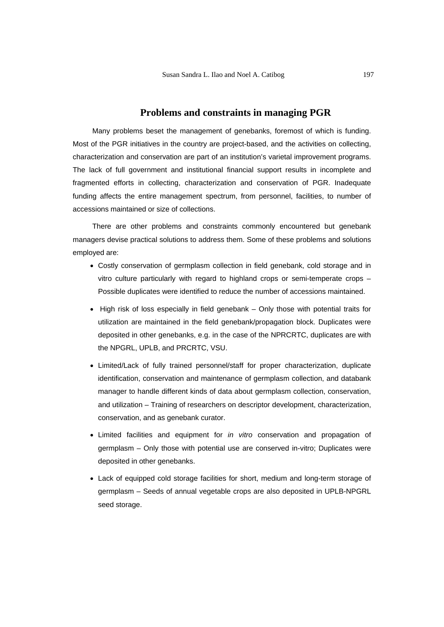#### **Problems and constraints in managing PGR**

Many problems beset the management of genebanks, foremost of which is funding. Most of the PGR initiatives in the country are project-based, and the activities on collecting, characterization and conservation are part of an institution's varietal improvement programs. The lack of full government and institutional financial support results in incomplete and fragmented efforts in collecting, characterization and conservation of PGR. Inadequate funding affects the entire management spectrum, from personnel, facilities, to number of accessions maintained or size of collections.

There are other problems and constraints commonly encountered but genebank managers devise practical solutions to address them. Some of these problems and solutions employed are:

- Costly conservation of germplasm collection in field genebank, cold storage and in vitro culture particularly with regard to highland crops or semi-temperate crops – Possible duplicates were identified to reduce the number of accessions maintained.
- High risk of loss especially in field genebank Only those with potential traits for utilization are maintained in the field genebank/propagation block. Duplicates were deposited in other genebanks, e.g. in the case of the NPRCRTC, duplicates are with the NPGRL, UPLB, and PRCRTC, VSU.
- Limited/Lack of fully trained personnel/staff for proper characterization, duplicate identification, conservation and maintenance of germplasm collection, and databank manager to handle different kinds of data about germplasm collection, conservation, and utilization – Training of researchers on descriptor development, characterization, conservation, and as genebank curator.
- Limited facilities and equipment for *in vitro* conservation and propagation of germplasm – Only those with potential use are conserved in-vitro; Duplicates were deposited in other genebanks.
- Lack of equipped cold storage facilities for short, medium and long-term storage of germplasm – Seeds of annual vegetable crops are also deposited in UPLB-NPGRL seed storage.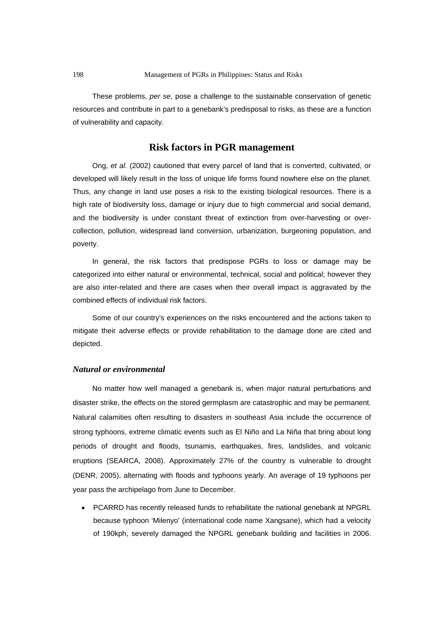These problems, *per se*, pose a challenge to the sustainable conservation of genetic resources and contribute in part to a genebank's predisposal to risks, as these are a function of vulnerability and capacity.

## **Risk factors in PGR management**

Ong, *et al*. (2002) cautioned that every parcel of land that is converted, cultivated, or developed will likely result in the loss of unique life forms found nowhere else on the planet. Thus, any change in land use poses a risk to the existing biological resources. There is a high rate of biodiversity loss, damage or injury due to high commercial and social demand, and the biodiversity is under constant threat of extinction from over-harvesting or overcollection, pollution, widespread land conversion, urbanization, burgeoning population, and poverty.

In general, the risk factors that predispose PGRs to loss or damage may be categorized into either natural or environmental, technical, social and political; however they are also inter-related and there are cases when their overall impact is aggravated by the combined effects of individual risk factors.

Some of our country's experiences on the risks encountered and the actions taken to mitigate their adverse effects or provide rehabilitation to the damage done are cited and depicted.

#### *Natural or environmental*

No matter how well managed a genebank is, when major natural perturbations and disaster strike, the effects on the stored germplasm are catastrophic and may be permanent. Natural calamities often resulting to disasters in southeast Asia include the occurrence of strong typhoons, extreme climatic events such as El Niño and La Niña that bring about long periods of drought and floods, tsunamis, earthquakes, fires, landslides, and volcanic eruptions (SEARCA, 2008). Approximately 27% of the country is vulnerable to drought (DENR, 2005), alternating with floods and typhoons yearly. An average of 19 typhoons per year pass the archipelago from June to December.

• PCARRD has recently released funds to rehabilitate the national genebank at NPGRL because typhoon 'Milenyo' (international code name Xangsane), which had a velocity of 190kph, severely damaged the NPGRL genebank building and facilities in 2006.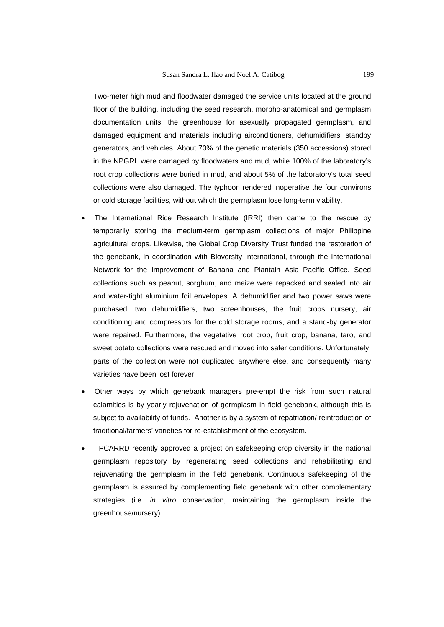Two-meter high mud and floodwater damaged the service units located at the ground floor of the building, including the seed research, morpho-anatomical and germplasm documentation units, the greenhouse for asexually propagated germplasm, and damaged equipment and materials including airconditioners, dehumidifiers, standby generators, and vehicles. About 70% of the genetic materials (350 accessions) stored in the NPGRL were damaged by floodwaters and mud, while 100% of the laboratory's root crop collections were buried in mud, and about 5% of the laboratory's total seed collections were also damaged. The typhoon rendered inoperative the four convirons or cold storage facilities, without which the germplasm lose long-term viability.

- The International Rice Research Institute (IRRI) then came to the rescue by temporarily storing the medium-term germplasm collections of major Philippine agricultural crops. Likewise, the Global Crop Diversity Trust funded the restoration of the genebank, in coordination with Bioversity International, through the International Network for the Improvement of Banana and Plantain Asia Pacific Office. Seed collections such as peanut, sorghum, and maize were repacked and sealed into air and water-tight aluminium foil envelopes. A dehumidifier and two power saws were purchased; two dehumidifiers, two screenhouses, the fruit crops nursery, air conditioning and compressors for the cold storage rooms, and a stand-by generator were repaired. Furthermore, the vegetative root crop, fruit crop, banana, taro, and sweet potato collections were rescued and moved into safer conditions. Unfortunately, parts of the collection were not duplicated anywhere else, and consequently many varieties have been lost forever.
- Other ways by which genebank managers pre-empt the risk from such natural calamities is by yearly rejuvenation of germplasm in field genebank, although this is subject to availability of funds. Another is by a system of repatriation/ reintroduction of traditional/farmers' varieties for re-establishment of the ecosystem.
- PCARRD recently approved a project on safekeeping crop diversity in the national germplasm repository by regenerating seed collections and rehabilitating and rejuvenating the germplasm in the field genebank. Continuous safekeeping of the germplasm is assured by complementing field genebank with other complementary strategies (i.e. *in vitro* conservation, maintaining the germplasm inside the greenhouse/nursery).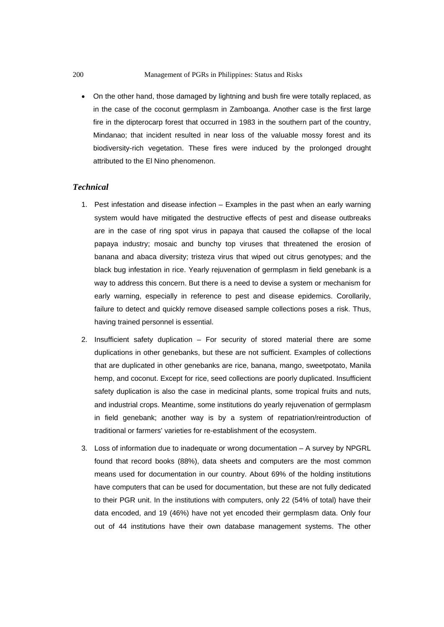• On the other hand, those damaged by lightning and bush fire were totally replaced, as in the case of the coconut germplasm in Zamboanga. Another case is the first large fire in the dipterocarp forest that occurred in 1983 in the southern part of the country, Mindanao; that incident resulted in near loss of the valuable mossy forest and its biodiversity-rich vegetation. These fires were induced by the prolonged drought attributed to the El Nino phenomenon.

#### *Technical*

- 1. Pest infestation and disease infection Examples in the past when an early warning system would have mitigated the destructive effects of pest and disease outbreaks are in the case of ring spot virus in papaya that caused the collapse of the local papaya industry; mosaic and bunchy top viruses that threatened the erosion of banana and abaca diversity; tristeza virus that wiped out citrus genotypes; and the black bug infestation in rice. Yearly rejuvenation of germplasm in field genebank is a way to address this concern. But there is a need to devise a system or mechanism for early warning, especially in reference to pest and disease epidemics. Corollarily, failure to detect and quickly remove diseased sample collections poses a risk. Thus, having trained personnel is essential.
- 2. Insufficient safety duplication For security of stored material there are some duplications in other genebanks, but these are not sufficient. Examples of collections that are duplicated in other genebanks are rice, banana, mango, sweetpotato, Manila hemp, and coconut. Except for rice, seed collections are poorly duplicated. Insufficient safety duplication is also the case in medicinal plants, some tropical fruits and nuts, and industrial crops. Meantime, some institutions do yearly rejuvenation of germplasm in field genebank; another way is by a system of repatriation/reintroduction of traditional or farmers' varieties for re-establishment of the ecosystem.
- 3. Loss of information due to inadequate or wrong documentation A survey by NPGRL found that record books (88%), data sheets and computers are the most common means used for documentation in our country. About 69% of the holding institutions have computers that can be used for documentation, but these are not fully dedicated to their PGR unit. In the institutions with computers, only 22 (54% of total) have their data encoded, and 19 (46%) have not yet encoded their germplasm data. Only four out of 44 institutions have their own database management systems. The other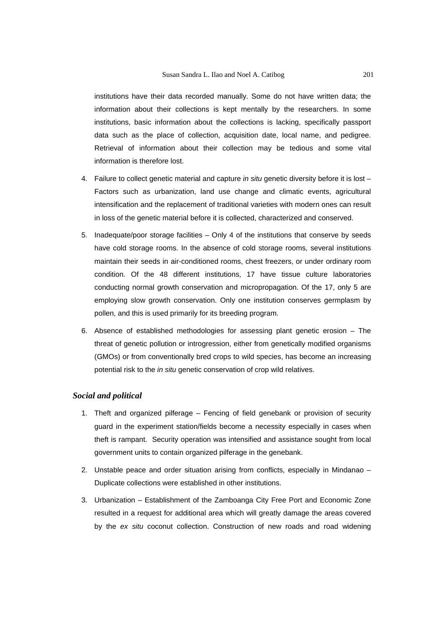institutions have their data recorded manually. Some do not have written data; the information about their collections is kept mentally by the researchers. In some institutions, basic information about the collections is lacking, specifically passport data such as the place of collection, acquisition date, local name, and pedigree. Retrieval of information about their collection may be tedious and some vital information is therefore lost.

- 4. Failure to collect genetic material and capture *in situ* genetic diversity before it is lost Factors such as urbanization, land use change and climatic events, agricultural intensification and the replacement of traditional varieties with modern ones can result in loss of the genetic material before it is collected, characterized and conserved.
- 5. Inadequate/poor storage facilities Only 4 of the institutions that conserve by seeds have cold storage rooms. In the absence of cold storage rooms, several institutions maintain their seeds in air-conditioned rooms, chest freezers, or under ordinary room condition. Of the 48 different institutions, 17 have tissue culture laboratories conducting normal growth conservation and micropropagation. Of the 17, only 5 are employing slow growth conservation. Only one institution conserves germplasm by pollen, and this is used primarily for its breeding program.
- 6. Absence of established methodologies for assessing plant genetic erosion The threat of genetic pollution or introgression, either from genetically modified organisms (GMOs) or from conventionally bred crops to wild species, has become an increasing potential risk to the *in situ* genetic conservation of crop wild relatives.

#### *Social and political*

- 1. Theft and organized pilferage Fencing of field genebank or provision of security guard in the experiment station/fields become a necessity especially in cases when theft is rampant. Security operation was intensified and assistance sought from local government units to contain organized pilferage in the genebank.
- 2. Unstable peace and order situation arising from conflicts, especially in Mindanao Duplicate collections were established in other institutions.
- 3. Urbanization Establishment of the Zamboanga City Free Port and Economic Zone resulted in a request for additional area which will greatly damage the areas covered by the *ex situ* coconut collection. Construction of new roads and road widening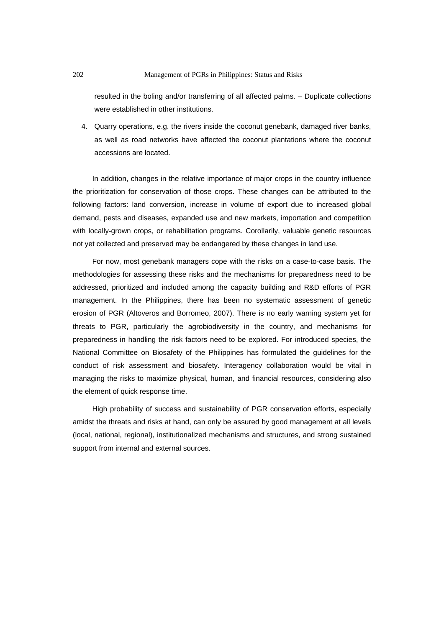resulted in the boling and/or transferring of all affected palms. – Duplicate collections were established in other institutions.

4. Quarry operations, e.g. the rivers inside the coconut genebank, damaged river banks, as well as road networks have affected the coconut plantations where the coconut accessions are located.

In addition, changes in the relative importance of major crops in the country influence the prioritization for conservation of those crops. These changes can be attributed to the following factors: land conversion, increase in volume of export due to increased global demand, pests and diseases, expanded use and new markets, importation and competition with locally-grown crops, or rehabilitation programs. Corollarily, valuable genetic resources not yet collected and preserved may be endangered by these changes in land use.

For now, most genebank managers cope with the risks on a case-to-case basis. The methodologies for assessing these risks and the mechanisms for preparedness need to be addressed, prioritized and included among the capacity building and R&D efforts of PGR management. In the Philippines, there has been no systematic assessment of genetic erosion of PGR (Altoveros and Borromeo, 2007). There is no early warning system yet for threats to PGR, particularly the agrobiodiversity in the country, and mechanisms for preparedness in handling the risk factors need to be explored. For introduced species, the National Committee on Biosafety of the Philippines has formulated the guidelines for the conduct of risk assessment and biosafety. Interagency collaboration would be vital in managing the risks to maximize physical, human, and financial resources, considering also the element of quick response time.

High probability of success and sustainability of PGR conservation efforts, especially amidst the threats and risks at hand, can only be assured by good management at all levels (local, national, regional), institutionalized mechanisms and structures, and strong sustained support from internal and external sources.